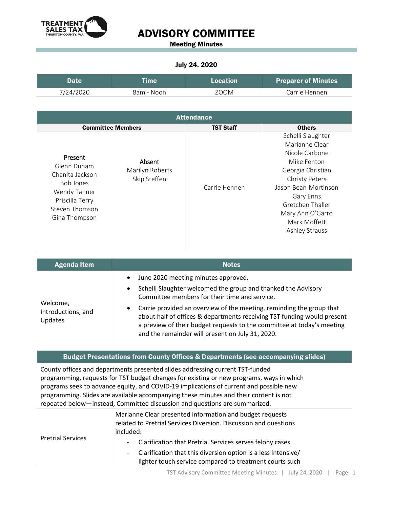

Meeting Minutes

#### July 24, 2020

| Date      | <b>Time</b> | <b>Location</b> | <b>Preparer of Minutes</b> |
|-----------|-------------|-----------------|----------------------------|
| 7/24/2020 | 8am - Noon  | ZOOM            | Carrie Hennen              |

| <b>Attendance</b>                                                                                                                   |                                           |                  |                                                                                                                                                                                                                                   |
|-------------------------------------------------------------------------------------------------------------------------------------|-------------------------------------------|------------------|-----------------------------------------------------------------------------------------------------------------------------------------------------------------------------------------------------------------------------------|
| <b>Committee Members</b>                                                                                                            |                                           | <b>TST Staff</b> | <b>Others</b>                                                                                                                                                                                                                     |
| Present<br>Glenn Dunam<br>Chanita Jackson<br><b>Bob Jones</b><br>Wendy Tanner<br>Priscilla Terry<br>Steven Thomson<br>Gina Thompson | Absent<br>Marilyn Roberts<br>Skip Steffen | Carrie Hennen    | Schelli Slaughter<br>Marianne Clear<br>Nicole Carbone<br>Mike Fenton<br>Georgia Christian<br><b>Christy Peters</b><br>Jason Bean-Mortinson<br>Gary Enns<br>Gretchen Thaller<br>Mary Ann O'Garro<br>Mark Moffett<br>Ashley Strauss |

| <b>Agenda Item</b>                               | <b>Notes</b>                                                                                                                                                                                                                                                                                                                                                                                                                                                                  |  |
|--------------------------------------------------|-------------------------------------------------------------------------------------------------------------------------------------------------------------------------------------------------------------------------------------------------------------------------------------------------------------------------------------------------------------------------------------------------------------------------------------------------------------------------------|--|
| Welcome,<br>Introductions, and<br><b>Updates</b> | June 2020 meeting minutes approved.<br>$\bullet$<br>Schelli Slaughter welcomed the group and thanked the Advisory<br>$\bullet$<br>Committee members for their time and service.<br>Carrie provided an overview of the meeting, reminding the group that<br>$\bullet$<br>about half of offices & departments receiving TST funding would present<br>a preview of their budget requests to the committee at today's meeting<br>and the remainder will present on July 31, 2020. |  |

#### Budget Presentations from County Offices & Departments (see accompanying slides)

County offices and departments presented slides addressing current TST-funded programming, requests for TST budget changes for existing or new programs, ways in which programs seek to advance equity, and COVID-19 implications of current and possible new programming. Slides are available accompanying these minutes and their content is not repeated below—instead, Committee discussion and questions are summarized.

|                          | Marianne Clear presented information and budget requests                |  |
|--------------------------|-------------------------------------------------------------------------|--|
|                          | related to Pretrial Services Diversion. Discussion and questions        |  |
|                          | included:                                                               |  |
| <b>Pretrial Services</b> | Clarification that Pretrial Services serves felony cases<br>$\sim$      |  |
|                          | Clarification that this diversion option is a less intensive/<br>$\sim$ |  |
|                          | lighter touch service compared to treatment courts such                 |  |
|                          |                                                                         |  |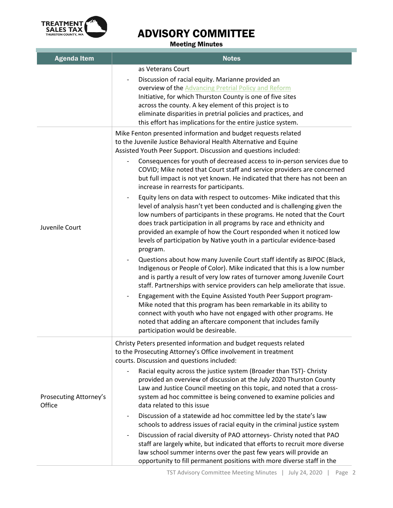

Meeting Minutes

| <b>Agenda Item</b>               | <b>Notes</b>                                                                                                                                                                                                                                                                                                                                                                                                                                                   |  |
|----------------------------------|----------------------------------------------------------------------------------------------------------------------------------------------------------------------------------------------------------------------------------------------------------------------------------------------------------------------------------------------------------------------------------------------------------------------------------------------------------------|--|
|                                  | as Veterans Court<br>Discussion of racial equity. Marianne provided an<br>overview of the Advancing Pretrial Policy and Reform<br>Initiative, for which Thurston County is one of five sites<br>across the county. A key element of this project is to<br>eliminate disparities in pretrial policies and practices, and<br>this effort has implications for the entire justice system.                                                                         |  |
| Juvenile Court                   | Mike Fenton presented information and budget requests related<br>to the Juvenile Justice Behavioral Health Alternative and Equine<br>Assisted Youth Peer Support. Discussion and questions included:<br>Consequences for youth of decreased access to in-person services due to                                                                                                                                                                                |  |
|                                  | COVID; Mike noted that Court staff and service providers are concerned<br>but full impact is not yet known. He indicated that there has not been an<br>increase in rearrests for participants.                                                                                                                                                                                                                                                                 |  |
|                                  | Equity lens on data with respect to outcomes- Mike indicated that this<br>level of analysis hasn't yet been conducted and is challenging given the<br>low numbers of participants in these programs. He noted that the Court<br>does track participation in all programs by race and ethnicity and<br>provided an example of how the Court responded when it noticed low<br>levels of participation by Native youth in a particular evidence-based<br>program. |  |
|                                  | Questions about how many Juvenile Court staff identify as BIPOC (Black,<br>Indigenous or People of Color). Mike indicated that this is a low number<br>and is partly a result of very low rates of turnover among Juvenile Court<br>staff. Partnerships with service providers can help ameliorate that issue.                                                                                                                                                 |  |
|                                  | Engagement with the Equine Assisted Youth Peer Support program-<br>Mike noted that this program has been remarkable in its ability to<br>connect with youth who have not engaged with other programs. He<br>noted that adding an aftercare component that includes family<br>participation would be desireable.                                                                                                                                                |  |
| Prosecuting Attorney's<br>Office | Christy Peters presented information and budget requests related<br>to the Prosecuting Attorney's Office involvement in treatment<br>courts. Discussion and questions included:                                                                                                                                                                                                                                                                                |  |
|                                  | Racial equity across the justice system (Broader than TST)- Christy<br>provided an overview of discussion at the July 2020 Thurston County<br>Law and Justice Council meeting on this topic, and noted that a cross-<br>system ad hoc committee is being convened to examine policies and<br>data related to this issue                                                                                                                                        |  |
|                                  | Discussion of a statewide ad hoc committee led by the state's law<br>schools to address issues of racial equity in the criminal justice system                                                                                                                                                                                                                                                                                                                 |  |
|                                  | Discussion of racial diversity of PAO attorneys- Christy noted that PAO<br>staff are largely white, but indicated that efforts to recruit more diverse<br>law school summer interns over the past few years will provide an<br>opportunity to fill permanent positions with more diverse staff in the                                                                                                                                                          |  |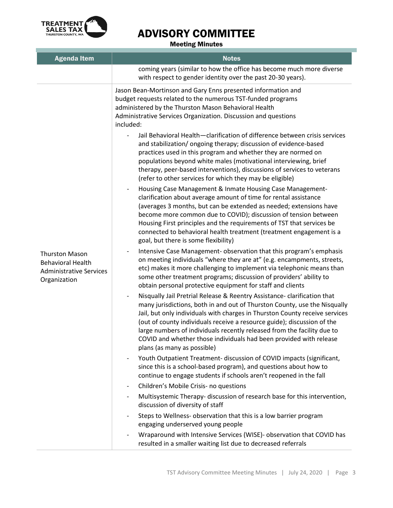

Meeting Minutes

| <b>Agenda Item</b>                                                                                  | <b>Notes</b>                                                                                                                                                                                                                                                                                                                                                                                                                                                                                                                |  |
|-----------------------------------------------------------------------------------------------------|-----------------------------------------------------------------------------------------------------------------------------------------------------------------------------------------------------------------------------------------------------------------------------------------------------------------------------------------------------------------------------------------------------------------------------------------------------------------------------------------------------------------------------|--|
|                                                                                                     | coming years (similar to how the office has become much more diverse<br>with respect to gender identity over the past 20-30 years).                                                                                                                                                                                                                                                                                                                                                                                         |  |
| <b>Thurston Mason</b><br><b>Behavioral Health</b><br><b>Administrative Services</b><br>Organization | Jason Bean-Mortinson and Gary Enns presented information and<br>budget requests related to the numerous TST-funded programs<br>administered by the Thurston Mason Behavioral Health<br>Administrative Services Organization. Discussion and questions<br>included:                                                                                                                                                                                                                                                          |  |
|                                                                                                     | Jail Behavioral Health-clarification of difference between crisis services<br>and stabilization/ongoing therapy; discussion of evidence-based<br>practices used in this program and whether they are normed on<br>populations beyond white males (motivational interviewing, brief<br>therapy, peer-based interventions), discussions of services to veterans<br>(refer to other services for which they may be eligible)                                                                                                   |  |
|                                                                                                     | Housing Case Management & Inmate Housing Case Management-<br>clarification about average amount of time for rental assistance<br>(averages 3 months, but can be extended as needed; extensions have<br>become more common due to COVID); discussion of tension between<br>Housing First principles and the requirements of TST that services be<br>connected to behavioral health treatment (treatment engagement is a<br>goal, but there is some flexibility)                                                              |  |
|                                                                                                     | Intensive Case Management- observation that this program's emphasis<br>on meeting individuals "where they are at" (e.g. encampments, streets,<br>etc) makes it more challenging to implement via telephonic means than<br>some other treatment programs; discussion of providers' ability to<br>obtain personal protective equipment for staff and clients                                                                                                                                                                  |  |
|                                                                                                     | Nisqually Jail Pretrial Release & Reentry Assistance- clarification that<br>$\overline{\phantom{a}}$<br>many jurisdictions, both in and out of Thurston County, use the Nisqually<br>Jail, but only individuals with charges in Thurston County receive services<br>(out of county individuals receive a resource guide); discussion of the<br>large numbers of individuals recently released from the facility due to<br>COVID and whether those individuals had been provided with release<br>plans (as many as possible) |  |
|                                                                                                     | Youth Outpatient Treatment- discussion of COVID impacts (significant,<br>since this is a school-based program), and questions about how to<br>continue to engage students if schools aren't reopened in the fall                                                                                                                                                                                                                                                                                                            |  |
|                                                                                                     | Children's Mobile Crisis- no questions<br>-                                                                                                                                                                                                                                                                                                                                                                                                                                                                                 |  |
|                                                                                                     | Multisystemic Therapy- discussion of research base for this intervention,<br>-<br>discussion of diversity of staff                                                                                                                                                                                                                                                                                                                                                                                                          |  |
|                                                                                                     | Steps to Wellness- observation that this is a low barrier program<br>engaging underserved young people                                                                                                                                                                                                                                                                                                                                                                                                                      |  |
|                                                                                                     | Wraparound with Intensive Services (WISE)- observation that COVID has<br>resulted in a smaller waiting list due to decreased referrals                                                                                                                                                                                                                                                                                                                                                                                      |  |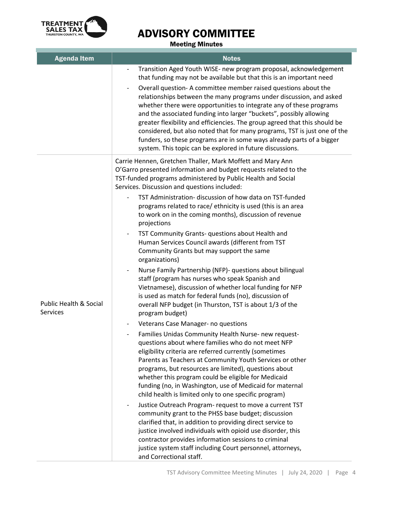

Meeting Minutes

| <b>Agenda Item</b>                            | <b>Notes</b>                                                                                                                                                                                                                                                                                                                                                                                                                                                                                                                                                                                                                                                                                                                                                                                                                                                                                                                                                                                                                                                                                                                                                                                                                                                                                                                                                                                                                                                                                                                                                                                                                                                                                                                                                                                                                                                                                 |
|-----------------------------------------------|----------------------------------------------------------------------------------------------------------------------------------------------------------------------------------------------------------------------------------------------------------------------------------------------------------------------------------------------------------------------------------------------------------------------------------------------------------------------------------------------------------------------------------------------------------------------------------------------------------------------------------------------------------------------------------------------------------------------------------------------------------------------------------------------------------------------------------------------------------------------------------------------------------------------------------------------------------------------------------------------------------------------------------------------------------------------------------------------------------------------------------------------------------------------------------------------------------------------------------------------------------------------------------------------------------------------------------------------------------------------------------------------------------------------------------------------------------------------------------------------------------------------------------------------------------------------------------------------------------------------------------------------------------------------------------------------------------------------------------------------------------------------------------------------------------------------------------------------------------------------------------------------|
|                                               | Transition Aged Youth WISE- new program proposal, acknowledgement<br>that funding may not be available but that this is an important need<br>Overall question- A committee member raised questions about the<br>relationships between the many programs under discussion, and asked<br>whether there were opportunities to integrate any of these programs<br>and the associated funding into larger "buckets", possibly allowing<br>greater flexibility and efficiencies. The group agreed that this should be<br>considered, but also noted that for many programs, TST is just one of the<br>funders, so these programs are in some ways already parts of a bigger<br>system. This topic can be explored in future discussions.                                                                                                                                                                                                                                                                                                                                                                                                                                                                                                                                                                                                                                                                                                                                                                                                                                                                                                                                                                                                                                                                                                                                                           |
| <b>Public Health &amp; Social</b><br>Services | Carrie Hennen, Gretchen Thaller, Mark Moffett and Mary Ann<br>O'Garro presented information and budget requests related to the<br>TST-funded programs administered by Public Health and Social<br>Services. Discussion and questions included:<br>TST Administration-discussion of how data on TST-funded<br>programs related to race/ ethnicity is used (this is an area<br>to work on in the coming months), discussion of revenue<br>projections<br>TST Community Grants- questions about Health and<br>Human Services Council awards (different from TST<br>Community Grants but may support the same<br>organizations)<br>Nurse Family Partnership (NFP)- questions about bilingual<br>staff (program has nurses who speak Spanish and<br>Vietnamese), discussion of whether local funding for NFP<br>is used as match for federal funds (no), discussion of<br>overall NFP budget (in Thurston, TST is about 1/3 of the<br>program budget)<br>Veterans Case Manager- no questions<br>Families Unidas Community Health Nurse- new request-<br>questions about where families who do not meet NFP<br>eligibility criteria are referred currently (sometimes<br>Parents as Teachers at Community Youth Services or other<br>programs, but resources are limited), questions about<br>whether this program could be eligible for Medicaid<br>funding (no, in Washington, use of Medicaid for maternal<br>child health is limited only to one specific program)<br>Justice Outreach Program- request to move a current TST<br>$\overline{\phantom{a}}$<br>community grant to the PHSS base budget; discussion<br>clarified that, in addition to providing direct service to<br>justice involved individuals with opioid use disorder, this<br>contractor provides information sessions to criminal<br>justice system staff including Court personnel, attorneys,<br>and Correctional staff. |